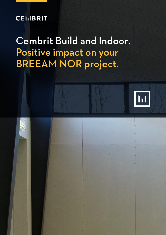### **CEIIBRIT**

## Cembrit Build and Indoor. Positive impact on your BREEAM NOR project.















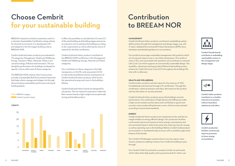Cembrit facade boards contribute to embedding sustainability actions in the management and design stages.



Cembrit indoor products contribute to a healthy internal environment, without hazardous substances and odour.



Cembrit production facilities continuously improve processes to lower energy consumptions.



BREEAM is based on a holistic assessment, and it is a voluntary Sustainability Certification rating scheme for the built environment. It is developed in UK and adapted to the Norwegian building code as BREEAM NOR.

Cembrit build and indoor products are evaluated in 10 categories; Management, Health and Wellbeing, Energy, Transport, Water, Materials, Waste, Land use and ecology, Pollution and Innovation. The sustainability performance of a building is evaluated on specific criteria within each of these categories.

The BREEAM NOR scheme, New Construction, provides a Sustainable Built Environment framework that helps clients manage and mitigate risk through demonstrating sustainability performance during all building phases.



#### It offers the possibility to calculate the LCA and LCC of the total building at all building stages and serves as a decision tool to optimise the building according to the requirements as well as altering the choice of material for the final certification.

Cembrit build and indoor products contribute to the BREEAM NOR certification in the Management, Health and Wellbeing, Energy, Materials and Waste categories.

Our contribution in these categories is the high transparency on the life cycle assessment (LCA) as well as the long lifetime and low maintenance of Cembrit build and indoor products which lowers the operational energy and costs in the building's lifetime.

Cembrit build and indoor boards are designed for robustness. The raw material composition makes the fibre cement boards a light weight and exceptionally strong and durable product.

## Choose Cembrit for your sustainable building

## Contribution to BREEAM NOR

#### **MANAGEMENT**

Cembrit build and indoor products contribute to embedding sustainability actions through the management and design stages, e.g. with 3rd party validated Environmental Product Declarations (EPD), documentation and detailed guidance on our products.

Our products encourage sustainable management with products which are strong and require none or very little maintenance. This results in none or few costs associated with operation and contributes to reduced Life Cycle Cost which supports an economically sustainable design. The durability, robustness and long product lifetime help building owners achieve low Total Life Cycle Costs (LCC) throughout the building's lifetime with no aftercare.

#### **HEALTH AND WELLBEEING**

Cembrit Indoor products set limit values for the emission of VOC, formaldehyde and ammonia through a M1 certification. Through this certification, chemical emission and odour deriving from the product and into the indoor air are documented.

Cembrit build and indoor products ensure the building's acoustic performance. The combination of high density and stiffness provides a high sound insulation performance and contributes to good room acoustics and soundproofing between rooms, which are documented according to harmonised standards.

#### **ENERGY**

Cembrit build and indoor products are maintenance-free, and the low weight enables an energy efficient design. Our production facilities continuously improve processes to lower energy consumptions and environmental impacts while at the same time reducing costs for energy as well as operating costs in the building's lifetime. Cembrit build products are mounted in a ventilated facade structure with a ventilation gab at the bottom of the facade.

Our Cembrit Windstopper products have a very low vapour transmission resistance enabling moisture from inside the building to pass through.

Our Cembrit Multi Force boards is resistant to both rot and mould, which makes them high quality multi-purpose boards for indoor use.



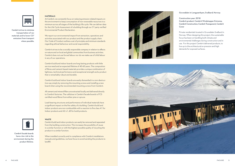

Cembrit strives to minimise transportation of raw materials and to lower CO<sup>2</sup> emissions from transport where possible.

> Cembrit facade boards have a low risk to the environment during the product lifetime.

#### **MATERIALS**

At Cembrit, we constantly focus on reducing emission related impacts on the environment to keep consumption of non-renewable resources to a minimum across all stages of the building's life cycle. We can deliver data for the Life Cycle Assessment of a building through our 3<sup>rd</sup> party verified Environmental Product Declaration.

We report our environmental impact from extraction, operations and activities associated with our product and the product supply chain. Our Code of Conduct outlines a set of principles and minimum standards regarding ethical behaviour and social responsibility.

Cembrit strives to be a socially responsible company in relation to effects on nature and on local and global communities from business activities. Cembrit does not use forced labour nor do we make use of child labour in any of our operations.

Cembrit build and indoor boards are long-lasting products with little service need and an expected lifetime of 40-60 years. The composition of fibres and cement-based materials provides a unique combination of lightness, technical performance and exceptional strength and a product that is remarkably robust and durable.

Cembrit build and indoor boards are easily dismantled in a non-destructive way simply by removing the mounting screws and installing a new board when using the recommended mounting screws from Cembrit.

All cement and mineral fillers are extracted locally and delivered directly to Cembrit factories. The cellulose in Cembrit facade boards is FCS certified wood fibres from either pine or spruce.

Load-bearing structures and performance of individual materials have a significant impact on the fire safety of a building. Cembrit build and indoor products are non-combustible with a reaction to fire class A1 for Indoor products and A2-s1, d0 for build products.



#### **WASTE**

Cembrit build and indoor products can easily be removed and separated from the building construction. This increases the possibility of reuse in a similar function or with the highest possible quality of recycling the product in a similar function.

When installed correclty and in compliance wiht Cembrit installations manuals and guidelines, we have focus to avoid sending the products to landfill.





#### Gruvedalen in Longyaerbyen, Svalbard, Norway

Construction year: 2018 Cembrit product: Cembrit Windstopper Extreme, Cembrit Construction, Cembrit Transparent, Cembrit Cover

Private residentials located in Gruvedalen Svalbard in Norway. When designing this project, the sustainable focus has been on handling both climate and environmental challenges during construction and in use. For this project Cembrit delivered products, to live up to the architectural ex-pression and high demands for exposed surfaces.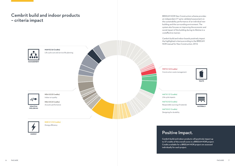**ENE 0.1 (12 Credits)**

Energy efficiency

ENERGY

**MAN 0.2 (4 Credits)**



Life cycle cost and service life planning

**HEA 0.2 (5 Credits)** Indoor air quality

**HEALTH &** WELLBEING

### **HEA 0.5 (2 Credits)** Acoustic performance



**MAT 0.1 (7 Credits)** Life cycle impacts

**MAT 0.3 (3 Credits)** Responsible sourcing of materials

**MAT 0.5 (1 Credits)** Designing for durability

**WST 0.1 (3 Credits)** Construction waste management

# Positive Impact.

Cembrit build and indoor products will positively impact up to 37 credits of the overall score in a BREEAM NOR project. Credits available for a BREEAM NOR project are assessed individually for each project.



**MATERIALS** 

BREEAM NOR New Construction scheme provides an independent 3<sup>rd</sup> party validated assessment on the sustainability performance of an individual new building and the surrounding environment. The system also focuses on improving the economic and social impact of the building during its lifetime in a costeffective manner. Cembrit build and indoor boards positively impact

the highlighted criteria according to the BREEAM NOR manual for New Construction, 2016

### Cembrit build and indoor products – criteria impact